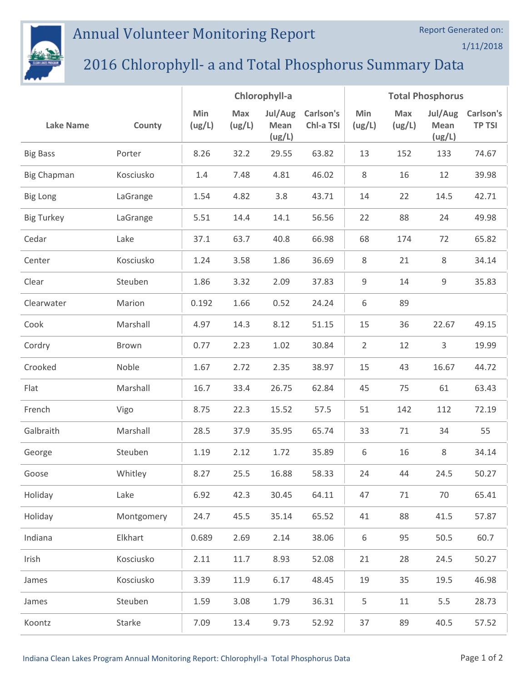## Annual Volunteer Monitoring Report



## 2016 Chlorophyll- a and Total Phosphorus Summary Data

|                    |            | Chlorophyll-a |               |                           | <b>Total Phosphorus</b> |                |               |                           |                            |
|--------------------|------------|---------------|---------------|---------------------------|-------------------------|----------------|---------------|---------------------------|----------------------------|
| <b>Lake Name</b>   | County     | Min<br>(ug/L) | Max<br>(ug/L) | Jul/Aug<br>Mean<br>(ug/L) | Carlson's<br>Chl-a TSI  | Min<br>(ug/L)  | Max<br>(ug/L) | Jul/Aug<br>Mean<br>(ug/L) | Carlson's<br><b>TP TSI</b> |
| <b>Big Bass</b>    | Porter     | 8.26          | 32.2          | 29.55                     | 63.82                   | 13             | 152           | 133                       | 74.67                      |
| <b>Big Chapman</b> | Kosciusko  | 1.4           | 7.48          | 4.81                      | 46.02                   | 8              | 16            | 12                        | 39.98                      |
| <b>Big Long</b>    | LaGrange   | 1.54          | 4.82          | 3.8                       | 43.71                   | 14             | 22            | 14.5                      | 42.71                      |
| <b>Big Turkey</b>  | LaGrange   | 5.51          | 14.4          | 14.1                      | 56.56                   | 22             | 88            | 24                        | 49.98                      |
| Cedar              | Lake       | 37.1          | 63.7          | 40.8                      | 66.98                   | 68             | 174           | 72                        | 65.82                      |
| Center             | Kosciusko  | 1.24          | 3.58          | 1.86                      | 36.69                   | 8              | 21            | 8                         | 34.14                      |
| Clear              | Steuben    | 1.86          | 3.32          | 2.09                      | 37.83                   | 9              | 14            | 9                         | 35.83                      |
| Clearwater         | Marion     | 0.192         | 1.66          | 0.52                      | 24.24                   | 6              | 89            |                           |                            |
| Cook               | Marshall   | 4.97          | 14.3          | 8.12                      | 51.15                   | 15             | 36            | 22.67                     | 49.15                      |
| Cordry             | Brown      | 0.77          | 2.23          | 1.02                      | 30.84                   | $\overline{2}$ | 12            | 3                         | 19.99                      |
| Crooked            | Noble      | 1.67          | 2.72          | 2.35                      | 38.97                   | 15             | 43            | 16.67                     | 44.72                      |
| Flat               | Marshall   | 16.7          | 33.4          | 26.75                     | 62.84                   | 45             | 75            | 61                        | 63.43                      |
| French             | Vigo       | 8.75          | 22.3          | 15.52                     | 57.5                    | 51             | 142           | 112                       | 72.19                      |
| Galbraith          | Marshall   | 28.5          | 37.9          | 35.95                     | 65.74                   | 33             | 71            | 34                        | 55                         |
| George             | Steuben    | 1.19          | 2.12          | 1.72                      | 35.89                   | 6              | 16            | 8                         | 34.14                      |
| Goose              | Whitley    | 8.27          | 25.5          | 16.88                     | 58.33                   | 24             | 44            | 24.5                      | 50.27                      |
| Holiday            | Lake       | 6.92          | 42.3          | 30.45                     | 64.11                   | 47             | 71            | 70                        | 65.41                      |
| Holiday            | Montgomery | 24.7          | 45.5          | 35.14                     | 65.52                   | 41             | 88            | 41.5                      | 57.87                      |
| Indiana            | Elkhart    | 0.689         | 2.69          | 2.14                      | 38.06                   | 6              | 95            | 50.5                      | 60.7                       |
| Irish              | Kosciusko  | 2.11          | 11.7          | 8.93                      | 52.08                   | 21             | 28            | 24.5                      | 50.27                      |
| James              | Kosciusko  | 3.39          | 11.9          | 6.17                      | 48.45                   | 19             | 35            | 19.5                      | 46.98                      |
| James              | Steuben    | 1.59          | 3.08          | 1.79                      | 36.31                   | 5              | 11            | 5.5                       | 28.73                      |
| Koontz             | Starke     | 7.09          | 13.4          | 9.73                      | 52.92                   | 37             | 89            | 40.5                      | 57.52                      |

Report Generated on:

1/11/2018